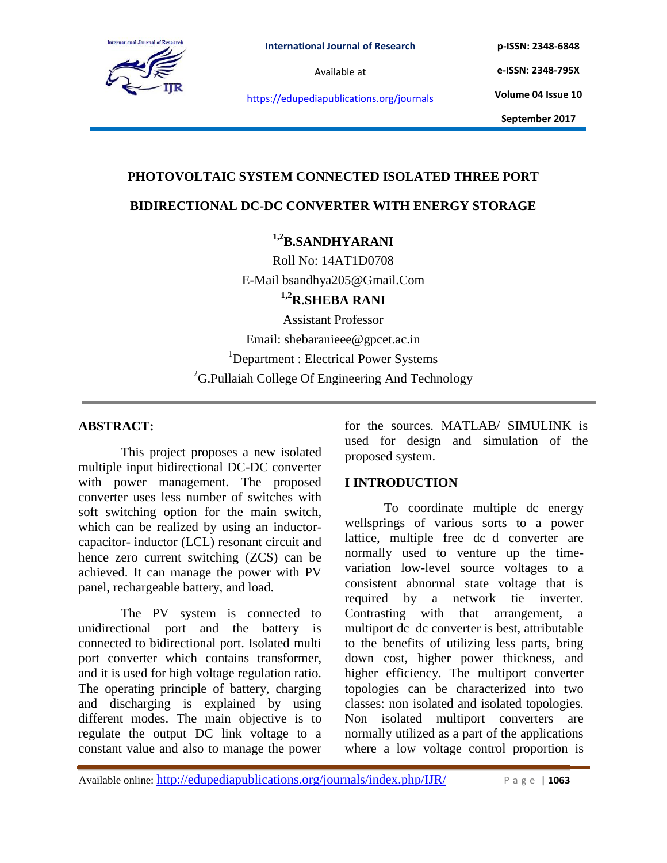

**p-ISSN: 2348-6848 e-ISSN: 2348-795X**

https://edupediapublications.org/journals

**Volume 04 Issue 10**

**September 2017**

# **PHOTOVOLTAIC SYSTEM CONNECTED ISOLATED THREE PORT**

## **BIDIRECTIONAL DC-DC CONVERTER WITH ENERGY STORAGE**

# **1,2B.SANDHYARANI**

Roll No: 14AT1D0708 E-Mail bsandhya205@Gmail.Com

**1,2R.SHEBA RANI**

Assistant Professor Email: shebaranieee@gpcet.ac.in <sup>1</sup>Department : Electrical Power Systems  ${}^{2}$ G.Pullaiah College Of Engineering And Technology

## **ABSTRACT:**

This project proposes a new isolated multiple input bidirectional DC-DC converter with power management. The proposed converter uses less number of switches with soft switching option for the main switch, which can be realized by using an inductorcapacitor- inductor (LCL) resonant circuit and hence zero current switching (ZCS) can be achieved. It can manage the power with PV panel, rechargeable battery, and load.

The PV system is connected to unidirectional port and the battery is connected to bidirectional port. Isolated multi port converter which contains transformer, and it is used for high voltage regulation ratio. The operating principle of battery, charging and discharging is explained by using different modes. The main objective is to regulate the output DC link voltage to a constant value and also to manage the power for the sources. MATLAB/ SIMULINK is used for design and simulation of the proposed system.

# **I INTRODUCTION**

To coordinate multiple dc energy wellsprings of various sorts to a power lattice, multiple free dc–d converter are normally used to venture up the timevariation low-level source voltages to a consistent abnormal state voltage that is required by a network tie inverter. Contrasting with that arrangement, a multiport dc–dc converter is best, attributable to the benefits of utilizing less parts, bring down cost, higher power thickness, and higher efficiency. The multiport converter topologies can be characterized into two classes: non isolated and isolated topologies. Non isolated multiport converters are normally utilized as a part of the applications where a low voltage control proportion is

Available online: http://edupediapublications.org/journals/index.php/IJR/ P a g e | **1063**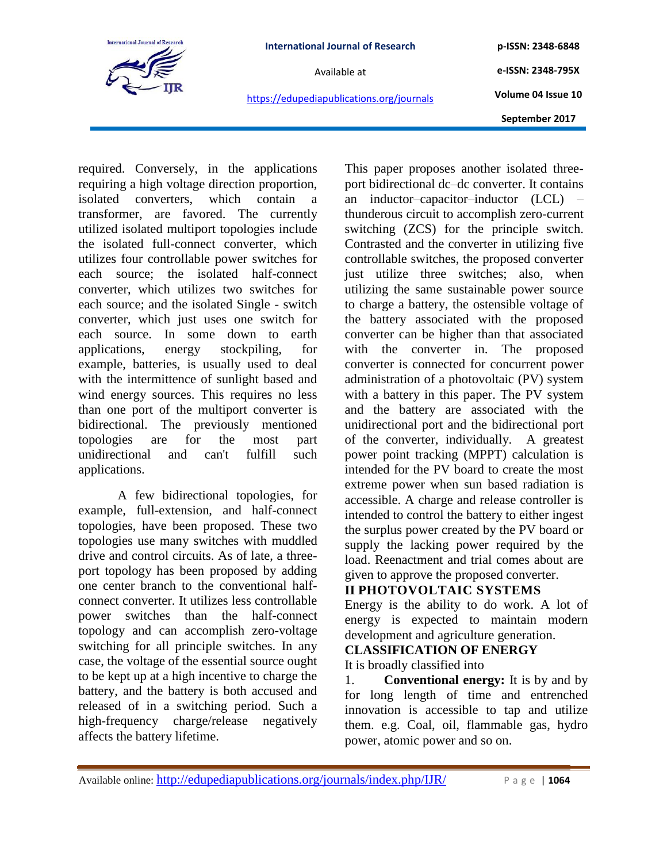

**p-ISSN: 2348-6848 e-ISSN: 2348-795X Volume 04 Issue 10**

https://edupediapublications.org/journals

**September 2017**

required. Conversely, in the applications requiring a high voltage direction proportion, isolated converters, which contain a transformer, are favored. The currently utilized isolated multiport topologies include the isolated full-connect converter, which utilizes four controllable power switches for each source; the isolated half-connect converter, which utilizes two switches for each source; and the isolated Single - switch converter, which just uses one switch for each source. In some down to earth applications, energy stockpiling, for example, batteries, is usually used to deal with the intermittence of sunlight based and wind energy sources. This requires no less than one port of the multiport converter is bidirectional. The previously mentioned topologies are for the most part unidirectional and can't fulfill such applications.

A few bidirectional topologies, for example, full-extension, and half-connect topologies, have been proposed. These two topologies use many switches with muddled drive and control circuits. As of late, a threeport topology has been proposed by adding one center branch to the conventional halfconnect converter. It utilizes less controllable power switches than the half-connect topology and can accomplish zero-voltage switching for all principle switches. In any case, the voltage of the essential source ought to be kept up at a high incentive to charge the battery, and the battery is both accused and released of in a switching period. Such a high-frequency charge/release negatively affects the battery lifetime.

This paper proposes another isolated threeport bidirectional dc–dc converter. It contains an inductor–capacitor–inductor (LCL) – thunderous circuit to accomplish zero-current switching (ZCS) for the principle switch. Contrasted and the converter in utilizing five controllable switches, the proposed converter just utilize three switches; also, when utilizing the same sustainable power source to charge a battery, the ostensible voltage of the battery associated with the proposed converter can be higher than that associated with the converter in. The proposed converter is connected for concurrent power administration of a photovoltaic (PV) system with a battery in this paper. The PV system and the battery are associated with the unidirectional port and the bidirectional port of the converter, individually. A greatest power point tracking (MPPT) calculation is intended for the PV board to create the most extreme power when sun based radiation is accessible. A charge and release controller is intended to control the battery to either ingest the surplus power created by the PV board or supply the lacking power required by the load. Reenactment and trial comes about are given to approve the proposed converter.

# **II PHOTOVOLTAIC SYSTEMS**

Energy is the ability to do work. A lot of energy is expected to maintain modern development and agriculture generation.

# **CLASSIFICATION OF ENERGY**

It is broadly classified into

1. **Conventional energy:** It is by and by for long length of time and entrenched innovation is accessible to tap and utilize them. e.g. Coal, oil, flammable gas, hydro power, atomic power and so on.

Available online: http://edupediapublications.org/journals/index.php/IJR/ P a g e | **1064**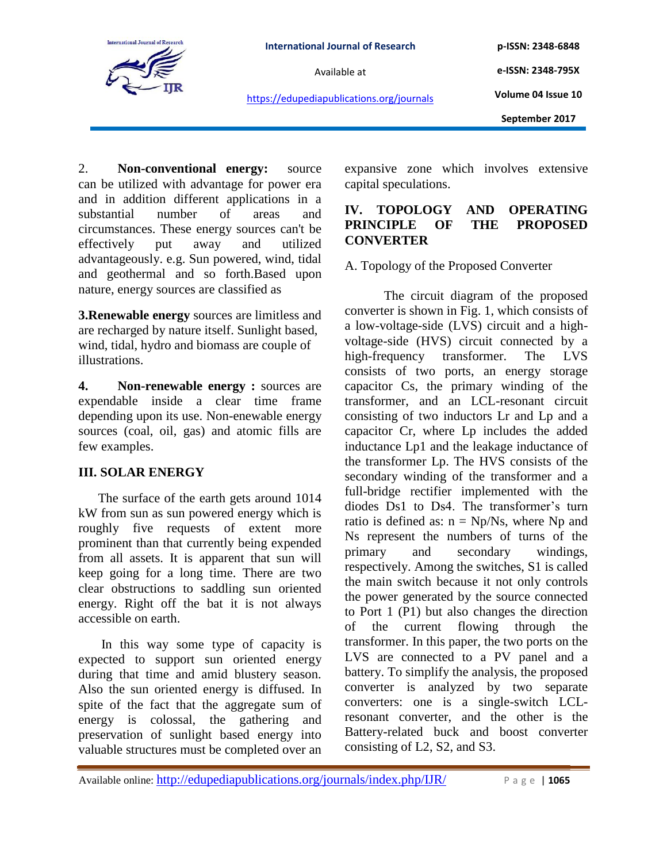

**International Journal of Research**

Available at

**p-ISSN: 2348-6848**

**e-ISSN: 2348-795X Volume 04 Issue 10**

https://edupediapublications.org/journals

**September 2017**

2. **Non-conventional energy:** source can be utilized with advantage for power era and in addition different applications in a substantial number of areas and circumstances. These energy sources can't be effectively put away and utilized advantageously. e.g. Sun powered, wind, tidal and geothermal and so forth.Based upon nature, energy sources are classified as

**3.Renewable energy** sources are limitless and are recharged by nature itself. Sunlight based, wind, tidal, hydro and biomass are couple of illustrations.

**4. Non-renewable energy :** sources are expendable inside a clear time frame depending upon its use. Non-enewable energy sources (coal, oil, gas) and atomic fills are few examples.

# **III. SOLAR ENERGY**

The surface of the earth gets around 1014 kW from sun as sun powered energy which is roughly five requests of extent more prominent than that currently being expended from all assets. It is apparent that sun will keep going for a long time. There are two clear obstructions to saddling sun oriented energy. Right off the bat it is not always accessible on earth.

In this way some type of capacity is expected to support sun oriented energy during that time and amid blustery season. Also the sun oriented energy is diffused. In spite of the fact that the aggregate sum of energy is colossal, the gathering and preservation of sunlight based energy into valuable structures must be completed over an expansive zone which involves extensive capital speculations.

# **IV. TOPOLOGY AND OPERATING PRINCIPLE OF THE PROPOSED CONVERTER**

A. Topology of the Proposed Converter

The circuit diagram of the proposed converter is shown in Fig. 1, which consists of a low-voltage-side (LVS) circuit and a highvoltage-side (HVS) circuit connected by a high-frequency transformer. The LVS consists of two ports, an energy storage capacitor Cs, the primary winding of the transformer, and an LCL-resonant circuit consisting of two inductors Lr and Lp and a capacitor Cr, where Lp includes the added inductance Lp1 and the leakage inductance of the transformer Lp. The HVS consists of the secondary winding of the transformer and a full-bridge rectifier implemented with the diodes Ds1 to Ds4. The transformer's turn ratio is defined as:  $n = Np/Ns$ , where Np and Ns represent the numbers of turns of the primary and secondary windings, respectively. Among the switches, S1 is called the main switch because it not only controls the power generated by the source connected to Port 1 (P1) but also changes the direction of the current flowing through the transformer. In this paper, the two ports on the LVS are connected to a PV panel and a battery. To simplify the analysis, the proposed converter is analyzed by two separate converters: one is a single-switch LCLresonant converter, and the other is the Battery-related buck and boost converter consisting of L2, S2, and S3.

Available online: http://edupediapublications.org/journals/index.php/IJR/ P a g e | **1065**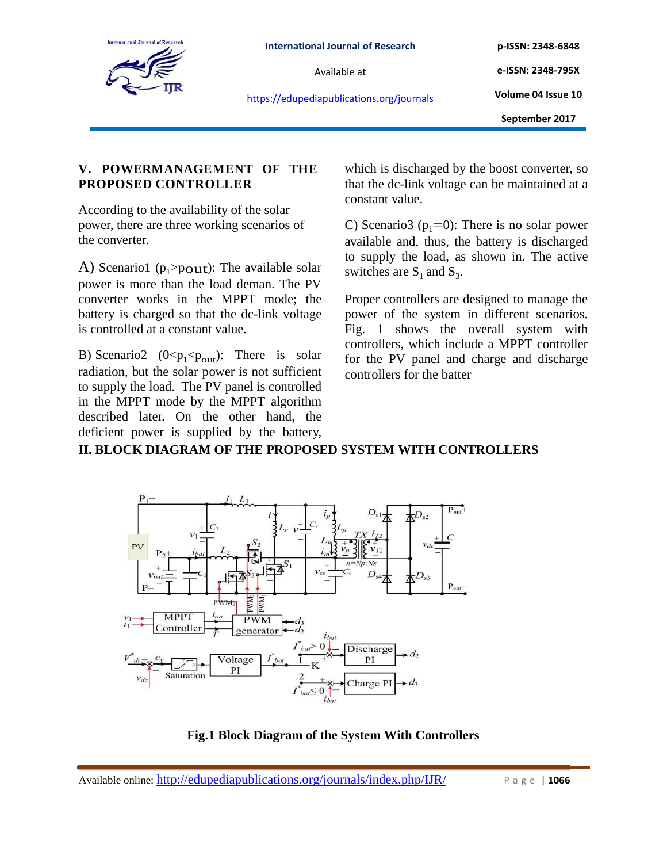

**p-ISSN: 2348-6848 e-ISSN: 2348-795X**

https://edupediapublications.org/journals

**Volume 04 Issue 10**

**September 2017**

# **V. POWERMANAGEMENT OF THE PROPOSED CONTROLLER**

According to the availability of the solar power, there are three working scenarios of the converter.

A) Scenario1 ( $p_1$ >pout): The available solar power is more than the load deman. The PV converter works in the MPPT mode; the battery is charged so that the dc-link voltage is controlled at a constant value.

B) Scenario2  $(0 < p_1 < p_{out})$ : There is solar radiation, but the solar power is not sufficient to supply the load. The PV panel is controlled in the MPPT mode by the MPPT algorithm described later. On the other hand, the deficient power is supplied by the battery, which is discharged by the boost converter, so that the dc-link voltage can be maintained at a constant value.

C) Scenario3 ( $p_1=0$ ): There is no solar power available and, thus, the battery is discharged to supply the load, as shown in. The active switches are  $S_1$  and  $S_3$ .

Proper controllers are designed to manage the power of the system in different scenarios. Fig. 1 shows the overall system with controllers, which include a MPPT controller for the PV panel and charge and discharge controllers for the batter

# **II. BLOCK DIAGRAM OF THE PROPOSED SYSTEM WITH CONTROLLERS**



**Fig.1 Block Diagram of the System With Controllers**

Available online: http://edupediapublications.org/journals/index.php/IJR/ P a g e | **1066**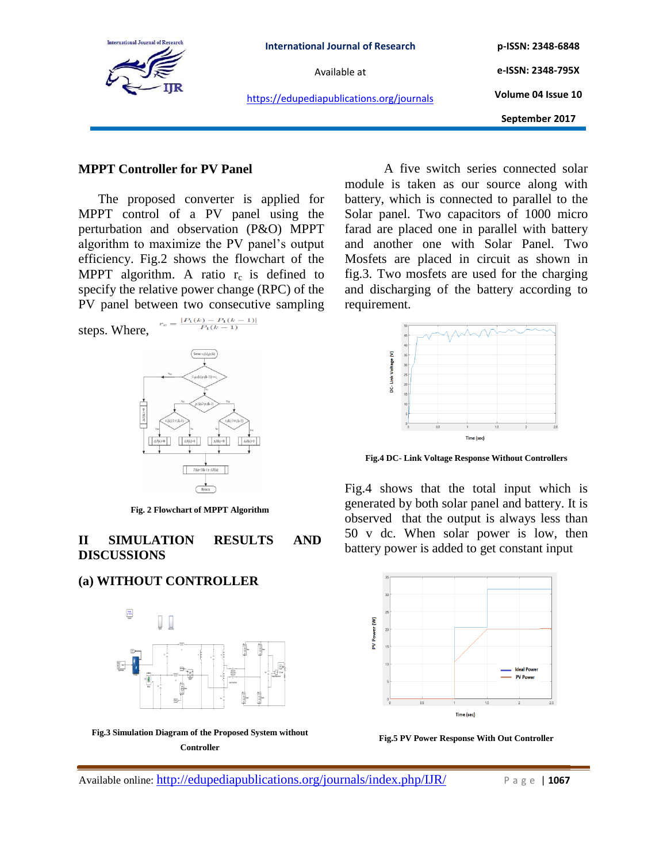

#### **MPPT Controller for PV Panel**

The proposed converter is applied for MPPT control of a PV panel using the perturbation and observation (P&O) MPPT algorithm to maximize the PV panel's output efficiency. Fig.2 shows the flowchart of the MPPT algorithm. A ratio  $r_c$  is defined to specify the relative power change (RPC) of the PV panel between two consecutive sampling

 $r_c = \frac{|P_1(k) - P_1(k-1)|}{P_1(k-1)}$ 

steps. Where,



**Fig. 2 Flowchart of MPPT Algorithm**

## **II SIMULATION RESULTS AND DISCUSSIONS**

## **(a) WITHOUT CONTROLLER**



**Fig.3 Simulation Diagram of the Proposed System without Controller**

A five switch series connected solar module is taken as our source along with battery, which is connected to parallel to the Solar panel. Two capacitors of 1000 micro farad are placed one in parallel with battery and another one with Solar Panel. Two Mosfets are placed in circuit as shown in fig.3. Two mosfets are used for the charging and discharging of the battery according to requirement.



**Fig.4 DC- Link Voltage Response Without Controllers**

Fig.4 shows that the total input which is generated by both solar panel and battery. It is observed that the output is always less than 50 v dc. When solar power is low, then battery power is added to get constant input



**Fig.5 PV Power Response With Out Controller**

Available online: http://edupediapublications.org/journals/index.php/IJR/ P a g e | **1067**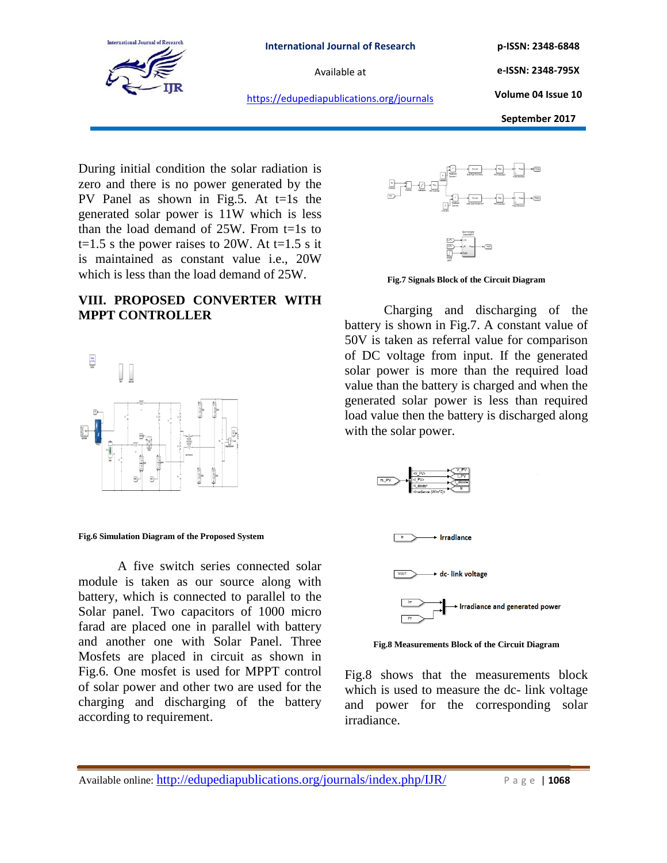

**p-ISSN: 2348-6848**

**e-ISSN: 2348-795X Volume 04 Issue 10**

https://edupediapublications.org/journals

**September 2017**

During initial condition the solar radiation is zero and there is no power generated by the PV Panel as shown in Fig.5. At t=1s the generated solar power is 11W which is less than the load demand of  $25W$ . From t=1s to t=1.5 s the power raises to 20W. At t=1.5 s it is maintained as constant value i.e., 20W which is less than the load demand of 25W.

# **VIII. PROPOSED CONVERTER WITH MPPT CONTROLLER**



#### **Fig.6 Simulation Diagram of the Proposed System**

A five switch series connected solar module is taken as our source along with battery, which is connected to parallel to the Solar panel. Two capacitors of 1000 micro farad are placed one in parallel with battery and another one with Solar Panel. Three Mosfets are placed in circuit as shown in Fig.6. One mosfet is used for MPPT control of solar power and other two are used for the charging and discharging of the battery according to requirement.





Charging and discharging of the battery is shown in Fig.7. A constant value of 50V is taken as referral value for comparison of DC voltage from input. If the generated solar power is more than the required load value than the battery is charged and when the generated solar power is less than required load value then the battery is discharged along with the solar power.



**Fig.8 Measurements Block of the Circuit Diagram**

Fig.8 shows that the measurements block which is used to measure the dc- link voltage and power for the corresponding solar irradiance.

Available online: http://edupediapublications.org/journals/index.php/IJR/ P a g e | **1068**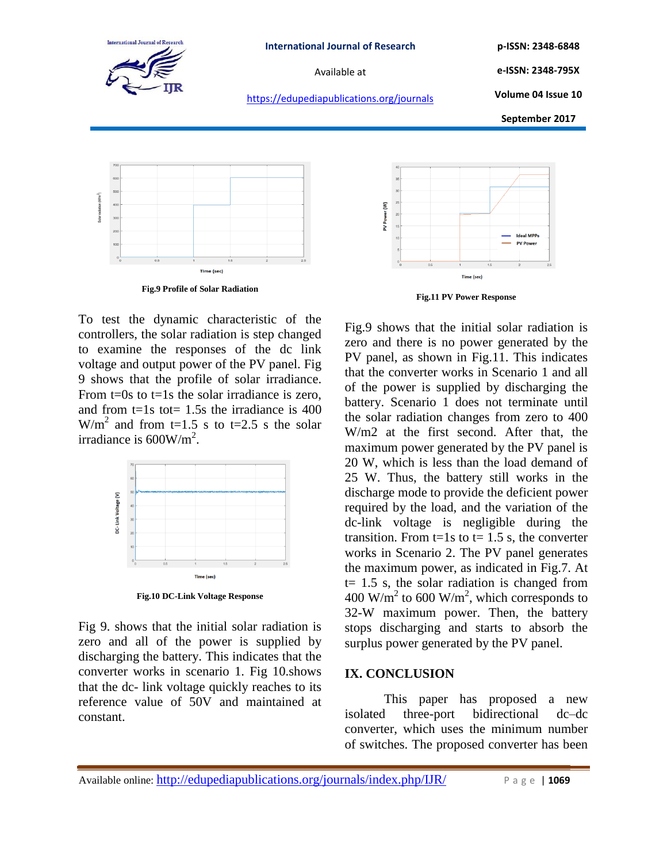

https://edupediapublications.org/journals

**p-ISSN: 2348-6848 e-ISSN: 2348-795X**

**Volume 04 Issue 10**

**September 2017**



**Fig.9 Profile of Solar Radiation**

To test the dynamic characteristic of the controllers, the solar radiation is step changed to examine the responses of the dc link voltage and output power of the PV panel. Fig 9 shows that the profile of solar irradiance. From  $t=0s$  to  $t=1s$  the solar irradiance is zero. and from  $t=1s$  tot= 1.5s the irradiance is 400  $W/m<sup>2</sup>$  and from t=1.5 s to t=2.5 s the solar irradiance is  $600$ W/m<sup>2</sup>.



**Fig.10 DC-Link Voltage Response**

Fig 9. shows that the initial solar radiation is zero and all of the power is supplied by discharging the battery. This indicates that the converter works in scenario 1. Fig 10.shows that the dc- link voltage quickly reaches to its reference value of 50V and maintained at constant.



**Fig.11 PV Power Response** 

Fig.9 shows that the initial solar radiation is zero and there is no power generated by the PV panel, as shown in Fig.11. This indicates that the converter works in Scenario 1 and all of the power is supplied by discharging the battery. Scenario 1 does not terminate until the solar radiation changes from zero to 400 W/m2 at the first second. After that, the maximum power generated by the PV panel is 20 W, which is less than the load demand of 25 W. Thus, the battery still works in the discharge mode to provide the deficient power required by the load, and the variation of the dc-link voltage is negligible during the transition. From  $t=1s$  to  $t=1.5$  s, the converter works in Scenario 2. The PV panel generates the maximum power, as indicated in Fig.7. At  $t= 1.5$  s, the solar radiation is changed from 400 W/m<sup>2</sup> to 600 W/m<sup>2</sup>, which corresponds to 32-W maximum power. Then, the battery stops discharging and starts to absorb the surplus power generated by the PV panel.

## **IX. CONCLUSION**

This paper has proposed a new isolated three-port bidirectional dc–dc converter, which uses the minimum number of switches. The proposed converter has been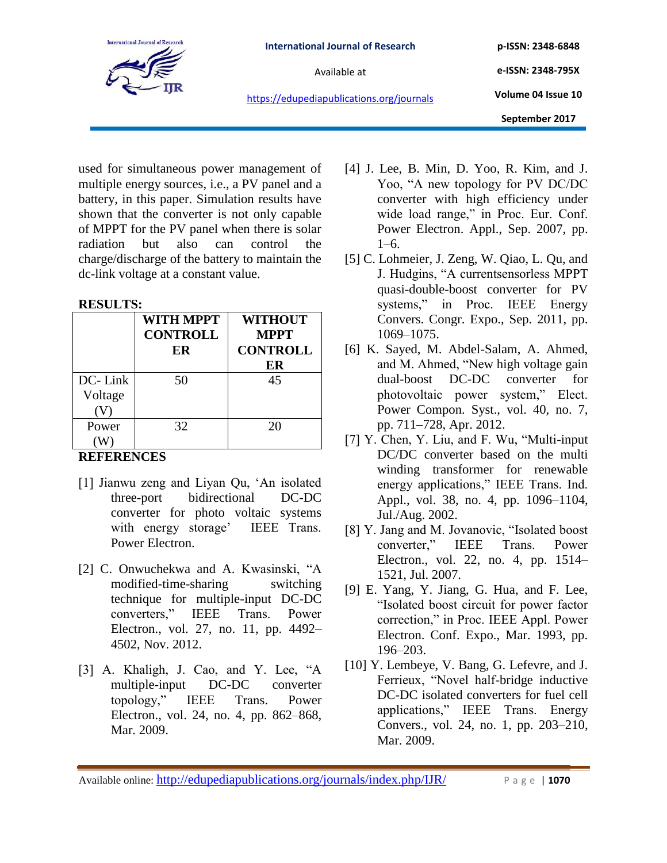

**e-ISSN: 2348-795X Volume 04 Issue 10**

https://edupediapublications.org/journals

used for simultaneous power management of multiple energy sources, i.e., a PV panel and a battery, in this paper. Simulation results have shown that the converter is not only capable of MPPT for the PV panel when there is solar radiation but also can control the charge/discharge of the battery to maintain the dc-link voltage at a constant value.

### **RESULTS:**

|         | <b>WITH MPPT</b> | <b>WITHOUT</b>  |
|---------|------------------|-----------------|
|         | <b>CONTROLL</b>  | <b>MPPT</b>     |
|         | ER               | <b>CONTROLL</b> |
|         |                  | ER              |
| DC-Link | 50               | 45              |
| Voltage |                  |                 |
|         |                  |                 |
| Power   | 32               | 20              |
|         |                  |                 |

# **REFERENCES**

- [1] Jianwu zeng and Liyan Qu, 'An isolated three-port bidirectional DC-DC converter for photo voltaic systems with energy storage' IEEE Trans. Power Electron.
- [2] C. Onwuchekwa and A. Kwasinski, "A modified-time-sharing switching technique for multiple-input DC-DC converters,‖ IEEE Trans. Power Electron., vol. 27, no. 11, pp. 4492– 4502, Nov. 2012.
- $[3]$  A. Khaligh, J. Cao, and Y. Lee, "A multiple-input DC-DC converter topology,‖ IEEE Trans. Power Electron., vol. 24, no. 4, pp. 862–868, Mar. 2009.
- [4] J. Lee, B. Min, D. Yoo, R. Kim, and J. Yoo, "A new topology for PV DC/DC converter with high efficiency under wide load range," in Proc. Eur. Conf. Power Electron. Appl., Sep. 2007, pp. 1–6.
- [5] C. Lohmeier, J. Zeng, W. Qiao, L. Qu, and J. Hudgins, "A currentsensorless MPPT quasi-double-boost converter for PV systems," in Proc. IEEE Energy Convers. Congr. Expo., Sep. 2011, pp. 1069–1075.
- [6] K. Sayed, M. Abdel-Salam, A. Ahmed, and M. Ahmed, "New high voltage gain dual-boost DC-DC converter for photovoltaic power system," Elect. Power Compon. Syst., vol. 40, no. 7, pp. 711–728, Apr. 2012.
- [7] Y. Chen, Y. Liu, and F. Wu, "Multi-input DC/DC converter based on the multi winding transformer for renewable energy applications," IEEE Trans. Ind. Appl., vol. 38, no. 4, pp. 1096–1104, Jul./Aug. 2002.
- [8] Y. Jang and M. Jovanovic, "Isolated boost" converter," IEEE Trans. Power Electron., vol. 22, no. 4, pp. 1514– 1521, Jul. 2007.
- [9] E. Yang, Y. Jiang, G. Hua, and F. Lee, "Isolated boost circuit for power factor correction," in Proc. IEEE Appl. Power Electron. Conf. Expo., Mar. 1993, pp. 196–203.
- [10] Y. Lembeye, V. Bang, G. Lefevre, and J. Ferrieux, "Novel half-bridge inductive DC-DC isolated converters for fuel cell applications,‖ IEEE Trans. Energy Convers., vol. 24, no. 1, pp. 203–210, Mar. 2009.

Available online: http://edupediapublications.org/journals/index.php/IJR/ P a g e | 1070